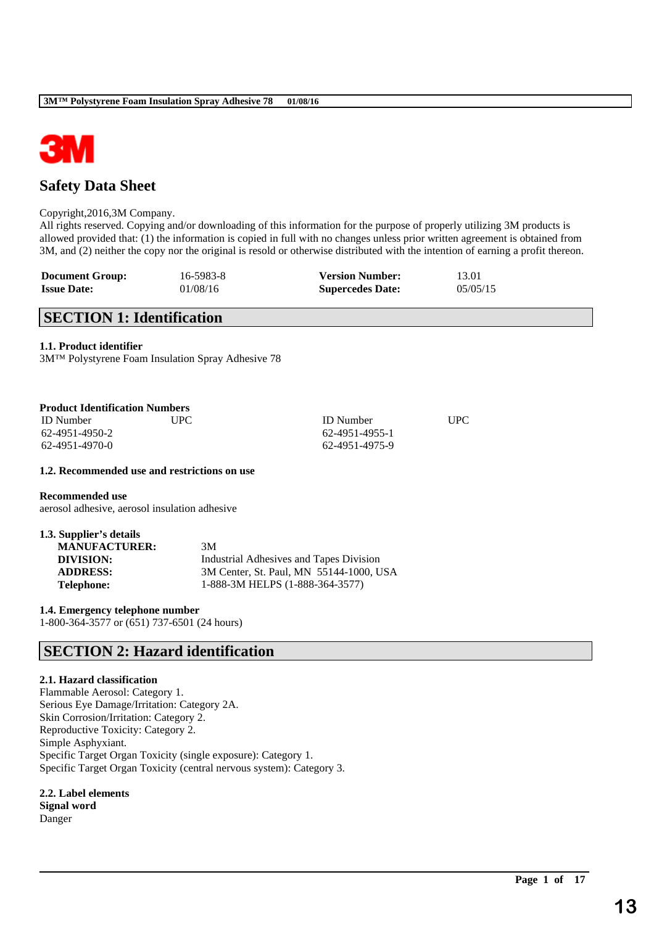

# **Safety Data Sheet**

### Copyright,2016,3M Company.

All rights reserved. Copying and/or downloading of this information for the purpose of properly utilizing 3M products is allowed provided that: (1) the information is copied in full with no changes unless prior written agreement is obtained from 3M, and (2) neither the copy nor the original is resold or otherwise distributed with the intention of earning a profit thereon.

\_\_\_\_\_\_\_\_\_\_\_\_\_\_\_\_\_\_\_\_\_\_\_\_\_\_\_\_\_\_\_\_\_\_\_\_\_\_\_\_\_\_\_\_\_\_\_\_\_\_\_\_\_\_\_\_\_\_\_\_\_\_\_\_\_\_\_\_\_\_\_\_\_\_\_\_\_\_\_\_\_\_\_\_\_\_\_\_\_\_

| <b>Document Group:</b> | 16-5983-8 | <b>Version Number:</b>  | 13.01    |
|------------------------|-----------|-------------------------|----------|
| <b>Issue Date:</b>     | 01/08/16  | <b>Supercedes Date:</b> | 05/05/15 |

# **SECTION 1: Identification**

### **1.1. Product identifier**

3M™ Polystyrene Foam Insulation Spray Adhesive 78

| <b>Product Identification Numbers</b> |            |                  |     |  |
|---------------------------------------|------------|------------------|-----|--|
| <b>ID</b> Number                      | <b>UPC</b> | <b>ID</b> Number | UPC |  |
| 62-4951-4950-2                        |            | 62-4951-4955-1   |     |  |
| 62-4951-4970-0                        |            | 62-4951-4975-9   |     |  |

### **1.2. Recommended use and restrictions on use**

**Recommended use**

aerosol adhesive, aerosol insulation adhesive

| 1.3. Supplier's details |                                         |
|-------------------------|-----------------------------------------|
| <b>MANUFACTURER:</b>    | 3M                                      |
| DIVISION:               | Industrial Adhesives and Tapes Division |
| <b>ADDRESS:</b>         | 3M Center, St. Paul, MN 55144-1000, USA |
| <b>Telephone:</b>       | 1-888-3M HELPS (1-888-364-3577)         |

**1.4. Emergency telephone number** 1-800-364-3577 or (651) 737-6501 (24 hours)

## **SECTION 2: Hazard identification**

### **2.1. Hazard classification**

Flammable Aerosol: Category 1. Serious Eye Damage/Irritation: Category 2A. Skin Corrosion/Irritation: Category 2. Reproductive Toxicity: Category 2. Simple Asphyxiant. Specific Target Organ Toxicity (single exposure): Category 1. Specific Target Organ Toxicity (central nervous system): Category 3.

### **2.2. Label elements**

**Signal word** Danger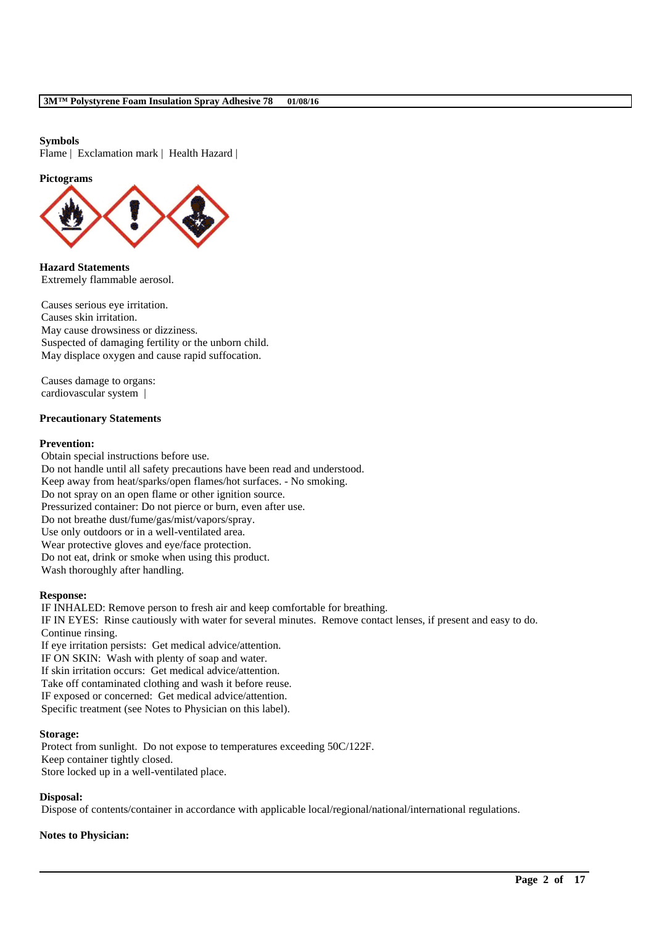### **Symbols**

Flame | Exclamation mark | Health Hazard |

#### **Pictograms**



**Hazard Statements** Extremely flammable aerosol.

Causes serious eye irritation. Causes skin irritation. May cause drowsiness or dizziness. Suspected of damaging fertility or the unborn child. May displace oxygen and cause rapid suffocation.

Causes damage to organs: cardiovascular system |

### **Precautionary Statements**

#### **Prevention:**

Obtain special instructions before use. Do not handle until all safety precautions have been read and understood. Keep away from heat/sparks/open flames/hot surfaces. - No smoking. Do not spray on an open flame or other ignition source. Pressurized container: Do not pierce or burn, even after use. Do not breathe dust/fume/gas/mist/vapors/spray. Use only outdoors or in a well-ventilated area. Wear protective gloves and eye/face protection. Do not eat, drink or smoke when using this product. Wash thoroughly after handling.

#### **Response:**

IF INHALED: Remove person to fresh air and keep comfortable for breathing. IF IN EYES: Rinse cautiously with water for several minutes. Remove contact lenses, if present and easy to do. Continue rinsing. If eye irritation persists: Get medical advice/attention. IF ON SKIN: Wash with plenty of soap and water. If skin irritation occurs: Get medical advice/attention. Take off contaminated clothing and wash it before reuse. IF exposed or concerned: Get medical advice/attention.

Specific treatment (see Notes to Physician on this label).

### **Storage:**

Protect from sunlight. Do not expose to temperatures exceeding 50C/122F. Keep container tightly closed. Store locked up in a well-ventilated place.

### **Disposal:**

Dispose of contents/container in accordance with applicable local/regional/national/international regulations.

\_\_\_\_\_\_\_\_\_\_\_\_\_\_\_\_\_\_\_\_\_\_\_\_\_\_\_\_\_\_\_\_\_\_\_\_\_\_\_\_\_\_\_\_\_\_\_\_\_\_\_\_\_\_\_\_\_\_\_\_\_\_\_\_\_\_\_\_\_\_\_\_\_\_\_\_\_\_\_\_\_\_\_\_\_\_\_\_\_\_

### **Notes to Physician:**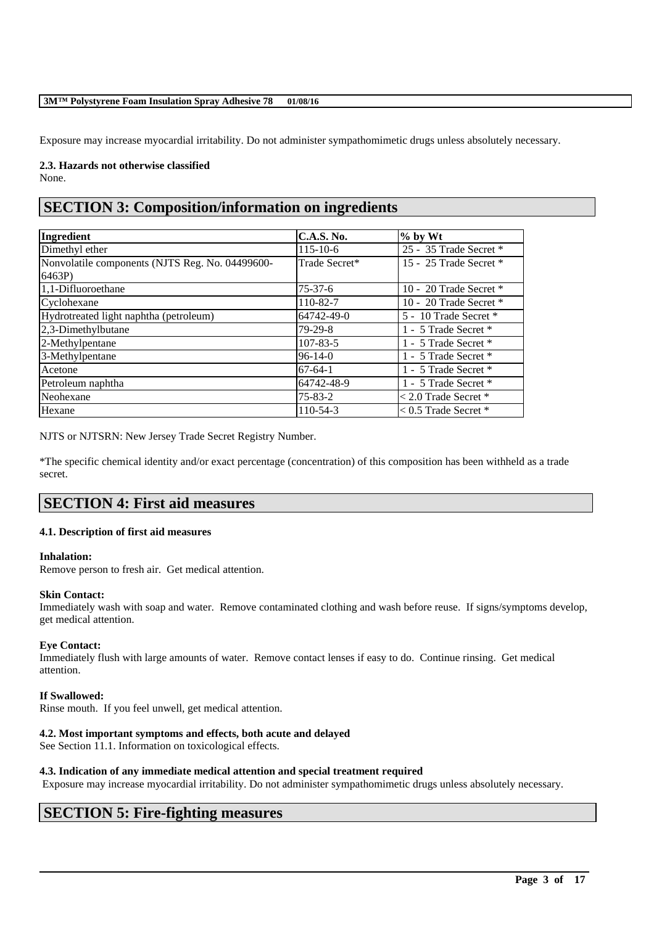Exposure may increase myocardial irritability. Do not administer sympathomimetic drugs unless absolutely necessary.

**2.3. Hazards not otherwise classified** None.

# **SECTION 3: Composition/information on ingredients**

| Ingredient                                               | <b>C.A.S. No.</b> | $%$ by Wt                |
|----------------------------------------------------------|-------------------|--------------------------|
| Dimethyl ether                                           | $115 - 10 - 6$    | 25 - 35 Trade Secret *   |
| Nonvolatile components (NJTS Reg. No. 04499600-<br>6463P | Trade Secret*     | 15 - 25 Trade Secret *   |
| 1,1-Difluoroethane                                       | $75 - 37 - 6$     | 10 - 20 Trade Secret *   |
| Cyclohexane                                              | 110-82-7          | 10 - 20 Trade Secret *   |
| Hydrotreated light naphtha (petroleum)                   | 64742-49-0        | 5 - 10 Trade Secret *    |
| $2,3$ -Dimethylbutane                                    | $79-29-8$         | 1 - 5 Trade Secret *     |
| 2-Methylpentane                                          | $107 - 83 - 5$    | 1 - 5 Trade Secret *     |
| 3-Methylpentane                                          | $96 - 14 - 0$     | 1 - 5 Trade Secret *     |
| Acetone                                                  | $67-64-1$         | 1 - 5 Trade Secret *     |
| Petroleum naphtha                                        | 64742-48-9        | 1 - 5 Trade Secret *     |
| Neohexane                                                | $75 - 83 - 2$     | $< 2.0$ Trade Secret $*$ |
| Hexane                                                   | 110-54-3          | $< 0.5$ Trade Secret $*$ |

NJTS or NJTSRN: New Jersey Trade Secret Registry Number.

\*The specific chemical identity and/or exact percentage (concentration) of this composition has been withheld as a trade secret.

# **SECTION 4: First aid measures**

### **4.1. Description of first aid measures**

### **Inhalation:**

Remove person to fresh air. Get medical attention.

### **Skin Contact:**

Immediately wash with soap and water. Remove contaminated clothing and wash before reuse. If signs/symptoms develop, get medical attention.

### **Eye Contact:**

Immediately flush with large amounts of water. Remove contact lenses if easy to do. Continue rinsing. Get medical attention.

### **If Swallowed:**

Rinse mouth. If you feel unwell, get medical attention.

### **4.2. Most important symptoms and effects, both acute and delayed**

See Section 11.1. Information on toxicological effects.

### **4.3. Indication of any immediate medical attention and special treatment required**

Exposure may increase myocardial irritability. Do not administer sympathomimetic drugs unless absolutely necessary.

\_\_\_\_\_\_\_\_\_\_\_\_\_\_\_\_\_\_\_\_\_\_\_\_\_\_\_\_\_\_\_\_\_\_\_\_\_\_\_\_\_\_\_\_\_\_\_\_\_\_\_\_\_\_\_\_\_\_\_\_\_\_\_\_\_\_\_\_\_\_\_\_\_\_\_\_\_\_\_\_\_\_\_\_\_\_\_\_\_\_

# **SECTION 5: Fire-fighting measures**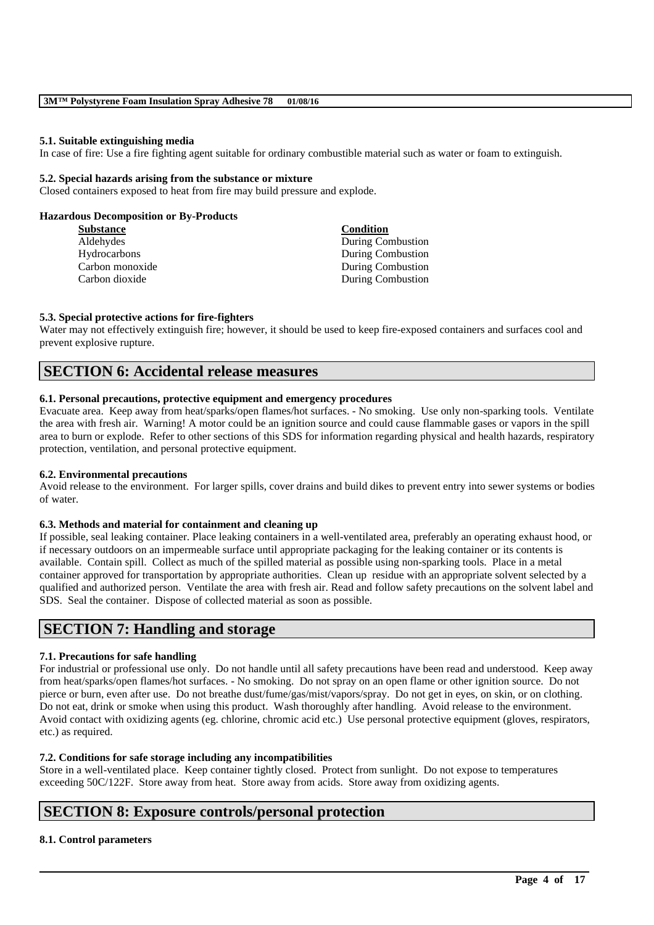### **5.1. Suitable extinguishing media**

In case of fire: Use a fire fighting agent suitable for ordinary combustible material such as water or foam to extinguish.

### **5.2. Special hazards arising from the substance or mixture**

Closed containers exposed to heat from fire may build pressure and explode.

### **Hazardous Decomposition or By-Products**

| Substance       | Condition         |
|-----------------|-------------------|
| Aldehydes       | During Combustion |
| Hydrocarbons    | During Combustion |
| Carbon monoxide | During Combustion |
| Carbon dioxide  | During Combustion |
|                 |                   |

### **5.3. Special protective actions for fire-fighters**

Water may not effectively extinguish fire; however, it should be used to keep fire-exposed containers and surfaces cool and prevent explosive rupture.

### **SECTION 6: Accidental release measures**

### **6.1. Personal precautions, protective equipment and emergency procedures**

Evacuate area. Keep away from heat/sparks/open flames/hot surfaces. - No smoking. Use only non-sparking tools. Ventilate the area with fresh air. Warning! A motor could be an ignition source and could cause flammable gases or vapors in the spill area to burn or explode. Refer to other sections of this SDS for information regarding physical and health hazards, respiratory protection, ventilation, and personal protective equipment.

### **6.2. Environmental precautions**

Avoid release to the environment. For larger spills, cover drains and build dikes to prevent entry into sewer systems or bodies of water.

### **6.3. Methods and material for containment and cleaning up**

If possible, seal leaking container. Place leaking containers in a well-ventilated area, preferably an operating exhaust hood, or if necessary outdoors on an impermeable surface until appropriate packaging for the leaking container or its contents is available. Contain spill. Collect as much of the spilled material as possible using non-sparking tools. Place in a metal container approved for transportation by appropriate authorities. Clean up residue with an appropriate solvent selected by a qualified and authorized person. Ventilate the area with fresh air. Read and follow safety precautions on the solvent label and SDS. Seal the container. Dispose of collected material as soon as possible.

## **SECTION 7: Handling and storage**

### **7.1. Precautions for safe handling**

For industrial or professional use only. Do not handle until all safety precautions have been read and understood. Keep away from heat/sparks/open flames/hot surfaces. - No smoking. Do not spray on an open flame or other ignition source. Do not pierce or burn, even after use. Do not breathe dust/fume/gas/mist/vapors/spray. Do not get in eyes, on skin, or on clothing. Do not eat, drink or smoke when using this product. Wash thoroughly after handling. Avoid release to the environment. Avoid contact with oxidizing agents (eg. chlorine, chromic acid etc.) Use personal protective equipment (gloves, respirators, etc.) as required.

### **7.2. Conditions for safe storage including any incompatibilities**

Store in a well-ventilated place. Keep container tightly closed. Protect from sunlight. Do not expose to temperatures exceeding 50C/122F. Store away from heat. Store away from acids. Store away from oxidizing agents.

\_\_\_\_\_\_\_\_\_\_\_\_\_\_\_\_\_\_\_\_\_\_\_\_\_\_\_\_\_\_\_\_\_\_\_\_\_\_\_\_\_\_\_\_\_\_\_\_\_\_\_\_\_\_\_\_\_\_\_\_\_\_\_\_\_\_\_\_\_\_\_\_\_\_\_\_\_\_\_\_\_\_\_\_\_\_\_\_\_\_

## **SECTION 8: Exposure controls/personal protection**

### **8.1. Control parameters**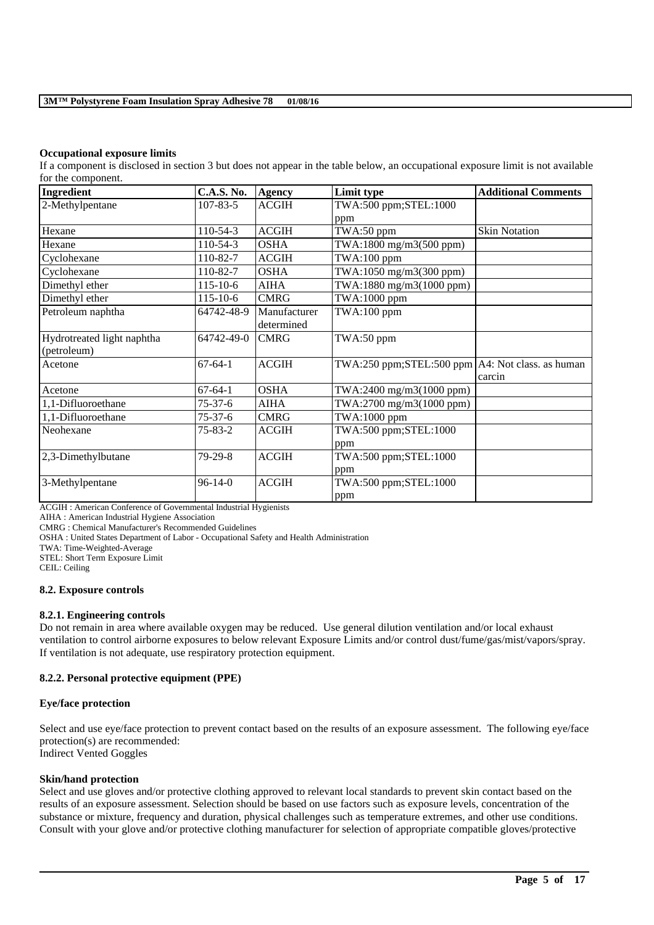### **Occupational exposure limits**

If a component is disclosed in section 3 but does not appear in the table below, an occupational exposure limit is not available for the component.

| Ingredient                 | <b>C.A.S. No.</b> | <b>Agency</b> | Limit type                                         | <b>Additional Comments</b> |
|----------------------------|-------------------|---------------|----------------------------------------------------|----------------------------|
| 2-Methylpentane            | $107 - 83 - 5$    | <b>ACGIH</b>  | TWA:500 ppm;STEL:1000                              |                            |
|                            |                   |               | ppm                                                |                            |
| Hexane                     | 110-54-3          | <b>ACGIH</b>  | TWA:50 ppm                                         | <b>Skin Notation</b>       |
| Hexane                     | $110-54-3$        | <b>OSHA</b>   | TWA:1800 mg/m3(500 ppm)                            |                            |
| Cyclohexane                | 110-82-7          | <b>ACGIH</b>  | $TWA:100$ ppm                                      |                            |
| Cyclohexane                | 110-82-7          | <b>OSHA</b>   | TWA:1050 mg/m3(300 ppm)                            |                            |
| Dimethyl ether             | $115 - 10 - 6$    | <b>AIHA</b>   | TWA:1880 mg/m3(1000 ppm)                           |                            |
| Dimethyl ether             | $115 - 10 - 6$    | <b>CMRG</b>   | TWA:1000 ppm                                       |                            |
| Petroleum naphtha          | 64742-48-9        | Manufacturer  | $TWA:100$ ppm                                      |                            |
|                            |                   | determined    |                                                    |                            |
| Hydrotreated light naphtha | 64742-49-0        | <b>CMRG</b>   | TWA:50 ppm                                         |                            |
| (petroleum)                |                   |               |                                                    |                            |
| Acetone                    | $67-64-1$         | <b>ACGIH</b>  | TWA:250 ppm;STEL:500 ppm   A4: Not class. as human |                            |
|                            |                   |               |                                                    | carcin                     |
| Acetone                    | $67-64-1$         | <b>OSHA</b>   | TWA:2400 mg/m3(1000 ppm)                           |                            |
| 1,1-Difluoroethane         | $75 - 37 - 6$     | <b>AIHA</b>   | $TWA:2700$ mg/m $3(1000$ ppm)                      |                            |
| 1,1-Difluoroethane         | $75 - 37 - 6$     | <b>CMRG</b>   | TWA:1000 ppm                                       |                            |
| Neohexane                  | 75-83-2           | <b>ACGIH</b>  | TWA:500 ppm;STEL:1000                              |                            |
|                            |                   |               | ppm                                                |                            |
| 2,3-Dimethylbutane         | 79-29-8           | <b>ACGIH</b>  | TWA:500 ppm;STEL:1000                              |                            |
|                            |                   |               | ppm                                                |                            |
| 3-Methylpentane            | $96-14-0$         | <b>ACGIH</b>  | TWA:500 ppm;STEL:1000                              |                            |
|                            |                   |               | ppm                                                |                            |

ACGIH : American Conference of Governmental Industrial Hygienists

AIHA : American Industrial Hygiene Association

CMRG : Chemical Manufacturer's Recommended Guidelines

OSHA : United States Department of Labor - Occupational Safety and Health Administration

TWA: Time-Weighted-Average

STEL: Short Term Exposure Limit

CEIL: Ceiling

#### **8.2. Exposure controls**

### **8.2.1. Engineering controls**

Do not remain in area where available oxygen may be reduced. Use general dilution ventilation and/or local exhaust ventilation to control airborne exposures to below relevant Exposure Limits and/or control dust/fume/gas/mist/vapors/spray. If ventilation is not adequate, use respiratory protection equipment.

### **8.2.2. Personal protective equipment (PPE)**

### **Eye/face protection**

Select and use eye/face protection to prevent contact based on the results of an exposure assessment. The following eye/face protection(s) are recommended: Indirect Vented Goggles

### **Skin/hand protection**

Select and use gloves and/or protective clothing approved to relevant local standards to prevent skin contact based on the results of an exposure assessment. Selection should be based on use factors such as exposure levels, concentration of the substance or mixture, frequency and duration, physical challenges such as temperature extremes, and other use conditions. Consult with your glove and/or protective clothing manufacturer for selection of appropriate compatible gloves/protective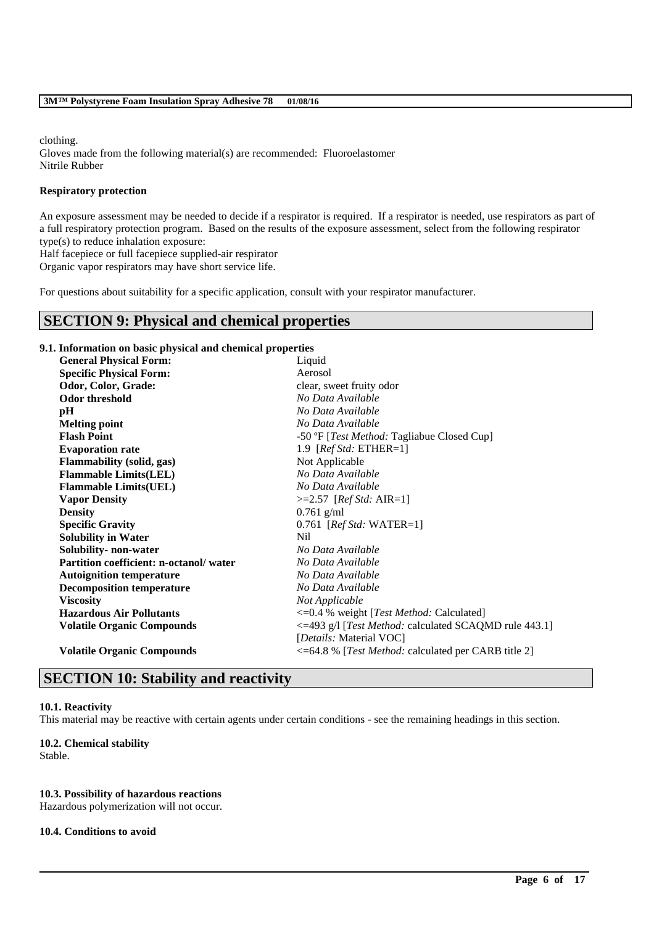clothing.

Gloves made from the following material(s) are recommended: Fluoroelastomer Nitrile Rubber

### **Respiratory protection**

An exposure assessment may be needed to decide if a respirator is required. If a respirator is needed, use respirators as part of a full respiratory protection program. Based on the results of the exposure assessment, select from the following respirator type(s) to reduce inhalation exposure:

Half facepiece or full facepiece supplied-air respirator

Organic vapor respirators may have short service life.

For questions about suitability for a specific application, consult with your respirator manufacturer.

## **SECTION 9: Physical and chemical properties**

### **9.1. Information on basic physical and chemical properties**

| <b>General Physical Form:</b>          | Liquid                                                            |
|----------------------------------------|-------------------------------------------------------------------|
| <b>Specific Physical Form:</b>         | Aerosol                                                           |
| Odor, Color, Grade:                    | clear, sweet fruity odor                                          |
| Odor threshold                         | No Data Available                                                 |
| pH                                     | No Data Available                                                 |
| <b>Melting point</b>                   | No Data Available                                                 |
| <b>Flash Point</b>                     | -50 °F [ <i>Test Method:</i> Tagliabue Closed Cup]                |
| <b>Evaporation rate</b>                | 1.9 [ $RefStd: ETHER=1$ ]                                         |
| Flammability (solid, gas)              | Not Applicable                                                    |
| <b>Flammable Limits(LEL)</b>           | No Data Available                                                 |
| <b>Flammable Limits(UEL)</b>           | No Data Available                                                 |
| <b>Vapor Density</b>                   | $>=2.57$ [ <i>Ref Std: AIR=1</i> ]                                |
| <b>Density</b>                         | $0.761$ g/ml                                                      |
| <b>Specific Gravity</b>                | 0.761 [ <i>Ref Std:</i> WATER=1]                                  |
| <b>Solubility in Water</b>             | Nil                                                               |
| Solubility- non-water                  | No Data Available                                                 |
| Partition coefficient: n-octanol/water | No Data Available                                                 |
| <b>Autoignition temperature</b>        | No Data Available                                                 |
| <b>Decomposition temperature</b>       | No Data Available                                                 |
| <b>Viscosity</b>                       | Not Applicable                                                    |
| <b>Hazardous Air Pollutants</b>        | <= 0.4 % weight [Test Method: Calculated]                         |
| <b>Volatile Organic Compounds</b>      | <=493 g/l [Test Method: calculated SCAQMD rule 443.1]             |
|                                        | [ <i>Details:</i> Material VOC]                                   |
| <b>Volatile Organic Compounds</b>      | $\leq$ =64.8 % [ <i>Test Method:</i> calculated per CARB title 2] |

# **SECTION 10: Stability and reactivity**

### **10.1. Reactivity**

This material may be reactive with certain agents under certain conditions - see the remaining headings in this section.

\_\_\_\_\_\_\_\_\_\_\_\_\_\_\_\_\_\_\_\_\_\_\_\_\_\_\_\_\_\_\_\_\_\_\_\_\_\_\_\_\_\_\_\_\_\_\_\_\_\_\_\_\_\_\_\_\_\_\_\_\_\_\_\_\_\_\_\_\_\_\_\_\_\_\_\_\_\_\_\_\_\_\_\_\_\_\_\_\_\_

### **10.2. Chemical stability**

Stable.

### **10.3. Possibility of hazardous reactions**

Hazardous polymerization will not occur.

### **10.4. Conditions to avoid**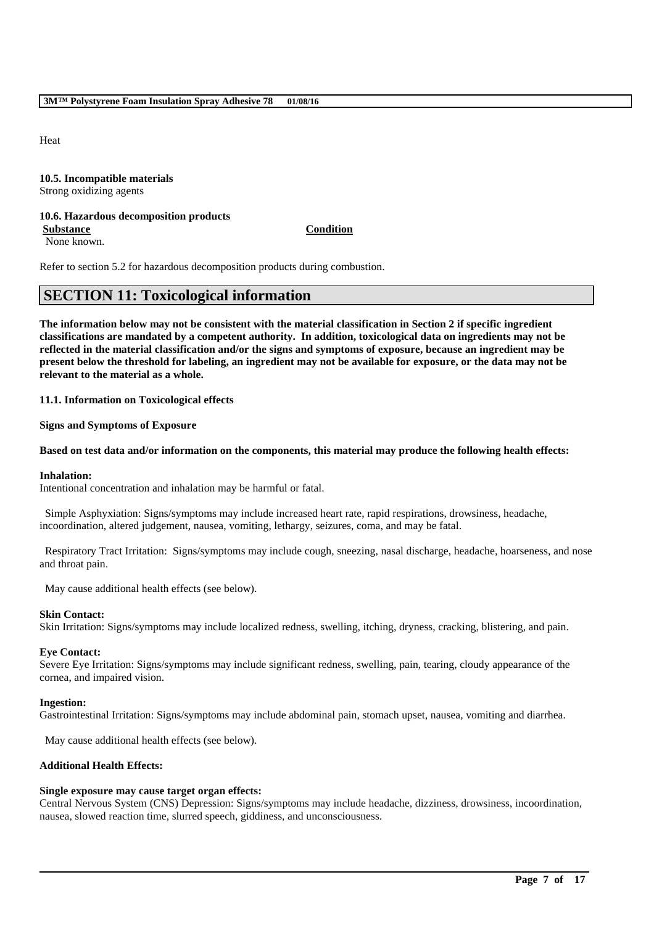Heat

### **10.5. Incompatible materials** Strong oxidizing agents

### **10.6. Hazardous decomposition products Substance Condition**

None known.

Refer to section 5.2 for hazardous decomposition products during combustion.

# **SECTION 11: Toxicological information**

**The information below may not be consistent with the material classification in Section 2 if specific ingredient classifications are mandated by a competent authority. In addition, toxicological data on ingredients may not be reflected in the material classification and/or the signs and symptoms of exposure, because an ingredient may be present below the threshold for labeling, an ingredient may not be available for exposure, or the data may not be relevant to the material as a whole.**

**11.1. Information on Toxicological effects**

**Signs and Symptoms of Exposure**

### **Based on test data and/or information on the components, this material may produce the following health effects:**

### **Inhalation:**

Intentional concentration and inhalation may be harmful or fatal.

Simple Asphyxiation: Signs/symptoms may include increased heart rate, rapid respirations, drowsiness, headache, incoordination, altered judgement, nausea, vomiting, lethargy, seizures, coma, and may be fatal.

Respiratory Tract Irritation: Signs/symptoms may include cough, sneezing, nasal discharge, headache, hoarseness, and nose and throat pain.

May cause additional health effects (see below).

### **Skin Contact:**

Skin Irritation: Signs/symptoms may include localized redness, swelling, itching, dryness, cracking, blistering, and pain.

### **Eye Contact:**

Severe Eye Irritation: Signs/symptoms may include significant redness, swelling, pain, tearing, cloudy appearance of the cornea, and impaired vision.

### **Ingestion:**

Gastrointestinal Irritation: Signs/symptoms may include abdominal pain, stomach upset, nausea, vomiting and diarrhea.

May cause additional health effects (see below).

### **Additional Health Effects:**

### **Single exposure may cause target organ effects:**

Central Nervous System (CNS) Depression: Signs/symptoms may include headache, dizziness, drowsiness, incoordination, nausea, slowed reaction time, slurred speech, giddiness, and unconsciousness.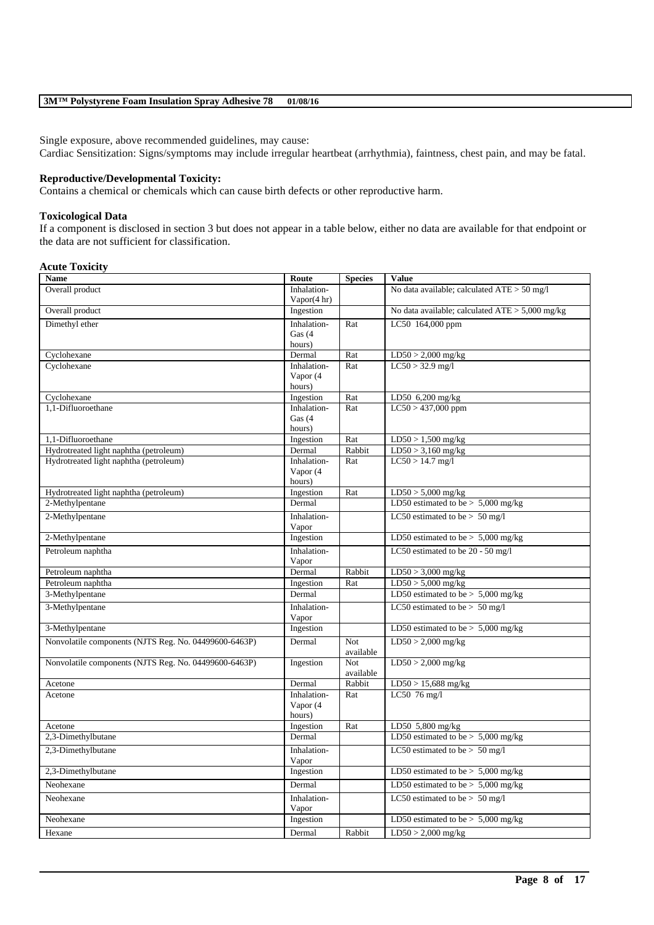Single exposure, above recommended guidelines, may cause:

Cardiac Sensitization: Signs/symptoms may include irregular heartbeat (arrhythmia), faintness, chest pain, and may be fatal.

### **Reproductive/Developmental Toxicity:**

Contains a chemical or chemicals which can cause birth defects or other reproductive harm.

### **Toxicological Data**

If a component is disclosed in section 3 but does not appear in a table below, either no data are available for that endpoint or the data are not sufficient for classification.

### **Acute Toxicity**

| Name                                                  | Route                         | <b>Species</b>   | Value                                           |
|-------------------------------------------------------|-------------------------------|------------------|-------------------------------------------------|
| Overall product                                       | Inhalation-<br>Vapor $(4 hr)$ |                  | No data available; calculated ATE > 50 mg/l     |
| Overall product                                       | Ingestion                     |                  | No data available; calculated ATE > 5,000 mg/kg |
| Dimethyl ether                                        | Inhalation-                   | Rat              | LC50 164,000 ppm                                |
|                                                       | Gas $(4)$                     |                  |                                                 |
|                                                       | hours)                        |                  |                                                 |
| Cyclohexane                                           | Dermal                        | Rat              | $LD50 > 2,000$ mg/kg                            |
| Cyclohexane                                           | Inhalation-                   | Rat              | $LC50 > 32.9$ mg/l                              |
|                                                       | Vapor (4                      |                  |                                                 |
|                                                       | hours)                        | Rat              |                                                 |
| Cyclohexane<br>1.1-Difluoroethane                     | Ingestion<br>Inhalation-      | Rat              | LD50 6,200 mg/kg<br>$LC50 > 437,000$ ppm        |
|                                                       | Gas (4                        |                  |                                                 |
|                                                       | hours)                        |                  |                                                 |
| 1,1-Difluoroethane                                    | Ingestion                     | Rat              | $LD50 > 1,500$ mg/kg                            |
| Hydrotreated light naphtha (petroleum)                | Dermal                        | Rabbit           | $LD50 > 3,160$ mg/kg                            |
| Hydrotreated light naphtha (petroleum)                | Inhalation-                   | Rat              | $LC50 > 14.7$ mg/l                              |
|                                                       | Vapor (4                      |                  |                                                 |
|                                                       | hours)                        |                  |                                                 |
| Hydrotreated light naphtha (petroleum)                | Ingestion                     | Rat              | $LD50 > 5,000$ mg/kg                            |
| 2-Methylpentane                                       | Dermal                        |                  | LD50 estimated to be $> 5,000$ mg/kg            |
| 2-Methylpentane                                       | Inhalation-                   |                  | LC50 estimated to be $> 50$ mg/l                |
|                                                       | Vapor                         |                  |                                                 |
| 2-Methylpentane                                       | Ingestion                     |                  | LD50 estimated to be $> 5,000$ mg/kg            |
| Petroleum naphtha                                     | Inhalation-                   |                  | LC50 estimated to be 20 - 50 mg/l               |
|                                                       | Vapor                         |                  |                                                 |
| Petroleum naphtha                                     | Dermal                        | Rabbit           | $LD50 > 3,000$ mg/kg                            |
| Petroleum naphtha                                     | Ingestion                     | Rat              | $LD50 > 5,000$ mg/kg                            |
| 3-Methylpentane                                       | Dermal                        |                  | LD50 estimated to be $> 5,000$ mg/kg            |
| 3-Methylpentane                                       | Inhalation-                   |                  | LC50 estimated to be $> 50$ mg/l                |
| 3-Methylpentane                                       | Vapor<br>Ingestion            |                  | LD50 estimated to be $> 5,000$ mg/kg            |
|                                                       |                               |                  |                                                 |
| Nonvolatile components (NJTS Reg. No. 04499600-6463P) | Dermal                        | Not<br>available | $LD50 > 2,000$ mg/kg                            |
| Nonvolatile components (NJTS Reg. No. 04499600-6463P) | Ingestion                     | <b>Not</b>       | $LD50 > 2,000$ mg/kg                            |
|                                                       |                               | available        |                                                 |
| Acetone                                               | Dermal                        | Rabbit           | $LD50 > 15,688$ mg/kg                           |
| Acetone                                               | Inhalation-                   | Rat              | LC50 76 mg/l                                    |
|                                                       | Vapor (4                      |                  |                                                 |
|                                                       | hours)                        |                  |                                                 |
| Acetone                                               | Ingestion                     | Rat              | LD50 5,800 mg/kg                                |
| 2,3-Dimethylbutane                                    | Dermal                        |                  | LD50 estimated to be $> 5,000$ mg/kg            |
| 2,3-Dimethylbutane                                    | Inhalation-                   |                  | LC50 estimated to be $> 50$ mg/l                |
|                                                       | Vapor                         |                  |                                                 |
| 2,3-Dimethylbutane                                    | Ingestion                     |                  | LD50 estimated to be $> 5,000$ mg/kg            |
| Neohexane                                             | Dermal                        |                  | LD50 estimated to be $> 5,000$ mg/kg            |
| Neohexane                                             | Inhalation-                   |                  | LC50 estimated to be $> 50$ mg/l                |
|                                                       | Vapor                         |                  |                                                 |
| Neohexane                                             | Ingestion                     |                  | LD50 estimated to be $> 5,000$ mg/kg            |
| Hexane                                                | Dermal                        | Rabbit           | $LD50 > 2,000$ mg/kg                            |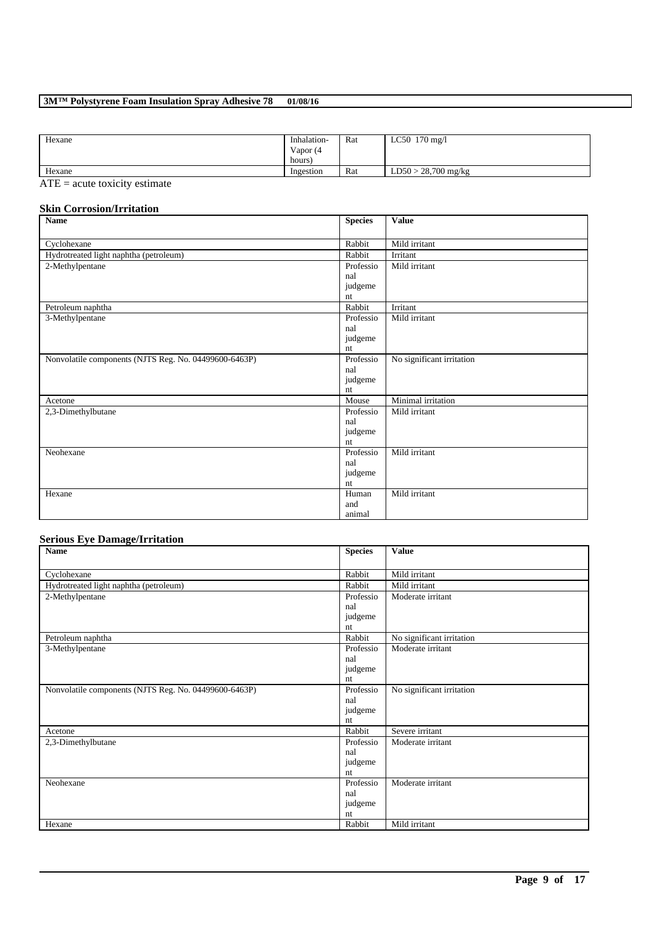| Hexane           | Inhalation- | Rat | LC50 $170 \text{ mg/l}$ |
|------------------|-------------|-----|-------------------------|
|                  | Vapor (4    |     |                         |
|                  | hours)      |     |                         |
| Hexane           | Ingestion   | Rat | $LD50 > 28,700$ mg/kg   |
| $\sim$ $ -$<br>. |             |     |                         |

 $\overline{ATE}$  = acute toxicity estimate

### **Skin Corrosion/Irritation**

| <b>Name</b>                                           | <b>Species</b> | <b>Value</b>              |
|-------------------------------------------------------|----------------|---------------------------|
|                                                       |                |                           |
| Cyclohexane                                           | Rabbit         | Mild irritant             |
| Hydrotreated light naphtha (petroleum)                | Rabbit         | Irritant                  |
| 2-Methylpentane                                       | Professio      | Mild irritant             |
|                                                       | nal            |                           |
|                                                       | judgeme        |                           |
|                                                       | nt             |                           |
| Petroleum naphtha                                     | Rabbit         | Irritant                  |
| 3-Methylpentane                                       | Professio      | Mild irritant             |
|                                                       | nal            |                           |
|                                                       | judgeme        |                           |
|                                                       | nt             |                           |
| Nonvolatile components (NJTS Reg. No. 04499600-6463P) | Professio      | No significant irritation |
|                                                       | nal            |                           |
|                                                       | judgeme        |                           |
|                                                       | nt             |                           |
| Acetone                                               | Mouse          | Minimal irritation        |
| 2,3-Dimethylbutane                                    | Professio      | Mild irritant             |
|                                                       | nal            |                           |
|                                                       | judgeme        |                           |
|                                                       | nt             |                           |
| Neohexane                                             | Professio      | Mild irritant             |
|                                                       | nal            |                           |
|                                                       | judgeme        |                           |
|                                                       | nt             |                           |
| Hexane                                                | Human          | Mild irritant             |
|                                                       | and            |                           |
|                                                       | animal         |                           |

# **Serious Eye Damage/Irritation**

| <b>Name</b>                                           | <b>Species</b> | <b>Value</b>              |
|-------------------------------------------------------|----------------|---------------------------|
|                                                       |                |                           |
| Cyclohexane                                           | Rabbit         | Mild irritant             |
| Hydrotreated light naphtha (petroleum)                | Rabbit         | Mild irritant             |
| 2-Methylpentane                                       | Professio      | Moderate irritant         |
|                                                       | nal            |                           |
|                                                       | judgeme        |                           |
|                                                       | nt             |                           |
| Petroleum naphtha                                     | Rabbit         | No significant irritation |
| 3-Methylpentane                                       | Professio      | Moderate irritant         |
|                                                       | nal            |                           |
|                                                       | judgeme        |                           |
|                                                       | nt             |                           |
| Nonvolatile components (NJTS Reg. No. 04499600-6463P) | Professio      | No significant irritation |
|                                                       | nal            |                           |
|                                                       | judgeme        |                           |
|                                                       | nt             |                           |
| Acetone                                               | Rabbit         | Severe irritant           |
| 2,3-Dimethylbutane                                    | Professio      | Moderate irritant         |
|                                                       | nal            |                           |
|                                                       | judgeme        |                           |
|                                                       | nt             |                           |
| Neohexane                                             | Professio      | Moderate irritant         |
|                                                       | nal            |                           |
|                                                       | judgeme        |                           |
|                                                       | nt             |                           |
| Hexane                                                | Rabbit         | Mild irritant             |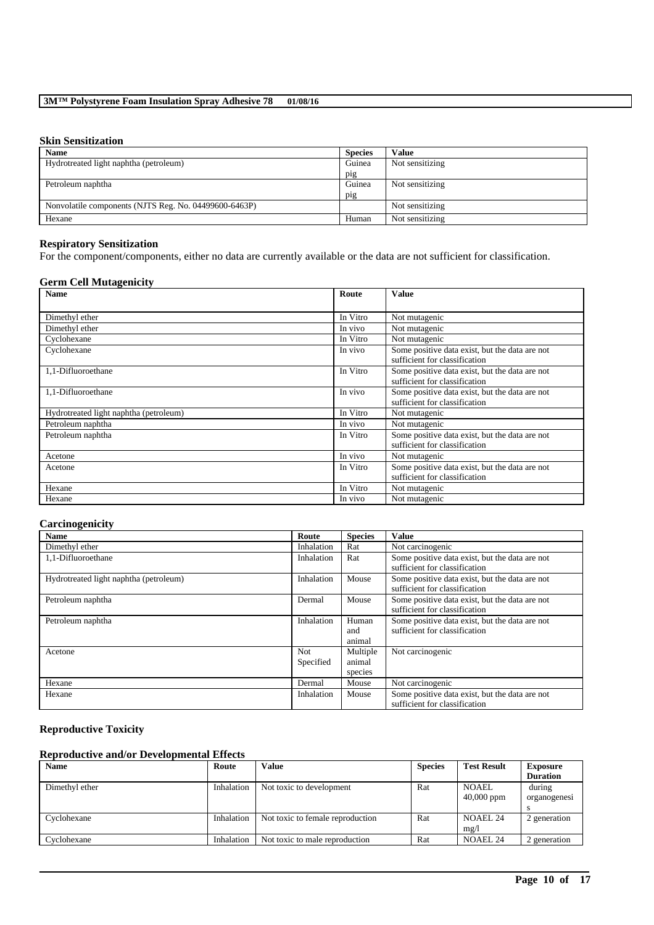### **Skin Sensitization**

| <b>Name</b>                                           | <b>Species</b> | <b>Value</b>    |
|-------------------------------------------------------|----------------|-----------------|
| Hydrotreated light naphtha (petroleum)                | Guinea         | Not sensitizing |
|                                                       | pig            |                 |
| Petroleum naphtha                                     | Guinea         | Not sensitizing |
|                                                       | pig            |                 |
| Nonvolatile components (NJTS Reg. No. 04499600-6463P) |                | Not sensitizing |
| Hexane                                                | Human          | Not sensitizing |

### **Respiratory Sensitization**

For the component/components, either no data are currently available or the data are not sufficient for classification.

### **Germ Cell Mutagenicity**

| <b>Name</b>                            | Route    | <b>Value</b>                                                                    |
|----------------------------------------|----------|---------------------------------------------------------------------------------|
|                                        |          |                                                                                 |
| Dimethyl ether                         | In Vitro | Not mutagenic                                                                   |
| Dimethyl ether                         | In vivo  | Not mutagenic                                                                   |
| Cyclohexane                            | In Vitro | Not mutagenic                                                                   |
| Cyclohexane                            | In vivo  | Some positive data exist, but the data are not<br>sufficient for classification |
| 1,1-Difluoroethane                     | In Vitro | Some positive data exist, but the data are not<br>sufficient for classification |
| 1,1-Difluoroethane                     | In vivo  | Some positive data exist, but the data are not<br>sufficient for classification |
| Hydrotreated light naphtha (petroleum) | In Vitro | Not mutagenic                                                                   |
| Petroleum naphtha                      | In vivo  | Not mutagenic                                                                   |
| Petroleum naphtha                      | In Vitro | Some positive data exist, but the data are not<br>sufficient for classification |
| Acetone                                | In vivo  | Not mutagenic                                                                   |
| Acetone                                | In Vitro | Some positive data exist, but the data are not<br>sufficient for classification |
| Hexane                                 | In Vitro | Not mutagenic                                                                   |
| Hexane                                 | In vivo  | Not mutagenic                                                                   |

### **Carcinogenicity**

| <b>Name</b>                            | Route            | <b>Species</b>                | Value                                                                           |
|----------------------------------------|------------------|-------------------------------|---------------------------------------------------------------------------------|
| Dimethyl ether                         | Inhalation       | Rat                           | Not carcinogenic                                                                |
| 1.1-Difluoroethane                     | Inhalation       | Rat                           | Some positive data exist, but the data are not<br>sufficient for classification |
| Hydrotreated light naphtha (petroleum) | Inhalation       | Mouse                         | Some positive data exist, but the data are not<br>sufficient for classification |
| Petroleum naphtha                      | Dermal           | Mouse                         | Some positive data exist, but the data are not<br>sufficient for classification |
| Petroleum naphtha                      | Inhalation       | Human<br>and<br>animal        | Some positive data exist, but the data are not<br>sufficient for classification |
| Acetone                                | Not<br>Specified | Multiple<br>animal<br>species | Not carcinogenic                                                                |
| Hexane                                 | Dermal           | Mouse                         | $\overline{\text{Not}}$ carcinogenic                                            |
| Hexane                                 | Inhalation       | Mouse                         | Some positive data exist, but the data are not<br>sufficient for classification |

### **Reproductive Toxicity**

### **Reproductive and/or Developmental Effects**

| <b>Name</b>    | Route      | Value                            | <b>Species</b> | <b>Test Result</b>  | <b>Exposure</b> |
|----------------|------------|----------------------------------|----------------|---------------------|-----------------|
|                |            |                                  |                |                     | <b>Duration</b> |
| Dimethyl ether | Inhalation | Not toxic to development         | Rat            | <b>NOAEL</b>        | during          |
|                |            |                                  |                | $40,000$ ppm        | organogenesi    |
|                |            |                                  |                |                     |                 |
| Cyclohexane    | Inhalation | Not toxic to female reproduction | Rat            | NOAEL <sub>24</sub> | 2 generation    |
|                |            |                                  |                | mg/1                |                 |
| Cyclohexane    | Inhalation | Not toxic to male reproduction   | Rat            | <b>NOAEL 24</b>     | 2 generation    |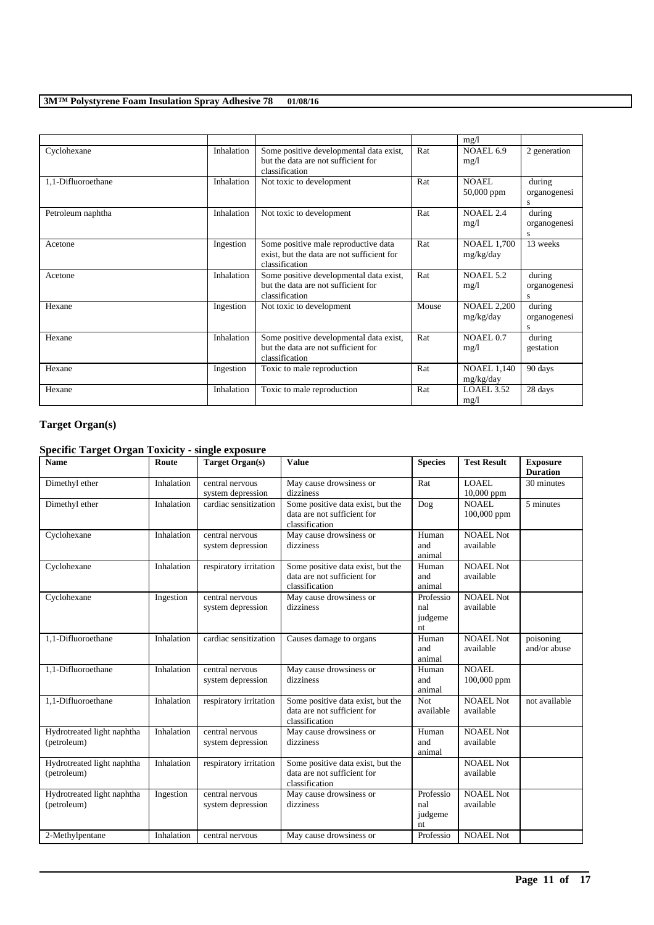|                    |            |                                                                                                      |       | mg/1                            |                             |
|--------------------|------------|------------------------------------------------------------------------------------------------------|-------|---------------------------------|-----------------------------|
| Cyclohexane        | Inhalation | Some positive developmental data exist,<br>but the data are not sufficient for<br>classification     | Rat   | NOAEL 6.9<br>mg/1               | 2 generation                |
| 1,1-Difluoroethane | Inhalation | Not toxic to development                                                                             | Rat   | NOAEL.<br>$50,000$ ppm          | during<br>organogenesi<br>S |
| Petroleum naphtha  | Inhalation | Not toxic to development                                                                             | Rat   | <b>NOAEL 2.4</b><br>mg/l        | during<br>organogenesi<br>s |
| Acetone            | Ingestion  | Some positive male reproductive data<br>exist, but the data are not sufficient for<br>classification | Rat   | <b>NOAEL 1,700</b><br>mg/kg/day | 13 weeks                    |
| Acetone            | Inhalation | Some positive developmental data exist,<br>but the data are not sufficient for<br>classification     | Rat   | <b>NOAEL 5.2</b><br>mg/1        | during<br>organogenesi<br>s |
| Hexane             | Ingestion  | Not toxic to development                                                                             | Mouse | <b>NOAEL 2,200</b><br>mg/kg/day | during<br>organogenesi<br>S |
| Hexane             | Inhalation | Some positive developmental data exist,<br>but the data are not sufficient for<br>classification     | Rat   | NOAEL 0.7<br>mg/l               | during<br>gestation         |
| Hexane             | Ingestion  | Toxic to male reproduction                                                                           | Rat   | <b>NOAEL 1,140</b><br>mg/kg/day | 90 days                     |
| Hexane             | Inhalation | Toxic to male reproduction                                                                           | Rat   | LOAEL 3.52<br>mg/1              | 28 days                     |

# **Target Organ(s)**

### **Specific Target Organ Toxicity - single exposure**

| <b>Name</b>                               | Route      | <b>Target Organ(s)</b>               | <b>Value</b>                                                                       | <b>Species</b>                    | <b>Test Result</b>            | <b>Exposure</b><br><b>Duration</b> |
|-------------------------------------------|------------|--------------------------------------|------------------------------------------------------------------------------------|-----------------------------------|-------------------------------|------------------------------------|
| Dimethyl ether                            | Inhalation | central nervous<br>system depression | May cause drowsiness or<br>dizziness                                               | Rat                               | <b>LOAEL</b><br>$10,000$ ppm  | 30 minutes                         |
| Dimethyl ether                            | Inhalation | cardiac sensitization                | Some positive data exist, but the<br>data are not sufficient for<br>classification | Dog                               | <b>NOAEL</b><br>100,000 ppm   | 5 minutes                          |
| Cyclohexane                               | Inhalation | central nervous<br>system depression | May cause drowsiness or<br>dizziness                                               | Human<br>and<br>animal            | <b>NOAEL Not</b><br>available |                                    |
| Cyclohexane                               | Inhalation | respiratory irritation               | Some positive data exist, but the<br>data are not sufficient for<br>classification | Human<br>and<br>animal            | <b>NOAEL Not</b><br>available |                                    |
| Cyclohexane                               | Ingestion  | central nervous<br>system depression | May cause drowsiness or<br>dizziness                                               | Professio<br>nal<br>judgeme<br>nt | <b>NOAEL Not</b><br>available |                                    |
| 1,1-Difluoroethane                        | Inhalation | cardiac sensitization                | Causes damage to organs                                                            | Human<br>and<br>animal            | <b>NOAEL Not</b><br>available | poisoning<br>and/or abuse          |
| 1,1-Difluoroethane                        | Inhalation | central nervous<br>system depression | May cause drowsiness or<br>dizziness                                               | Human<br>and<br>animal            | <b>NOAEL</b><br>100,000 ppm   |                                    |
| 1,1-Difluoroethane                        | Inhalation | respiratory irritation               | Some positive data exist, but the<br>data are not sufficient for<br>classification | Not<br>available                  | <b>NOAEL Not</b><br>available | not available                      |
| Hydrotreated light naphtha<br>(petroleum) | Inhalation | central nervous<br>system depression | May cause drowsiness or<br>dizziness                                               | Human<br>and<br>animal            | NOAEL Not<br>available        |                                    |
| Hydrotreated light naphtha<br>(petroleum) | Inhalation | respiratory irritation               | Some positive data exist, but the<br>data are not sufficient for<br>classification |                                   | <b>NOAEL Not</b><br>available |                                    |
| Hydrotreated light naphtha<br>(petroleum) | Ingestion  | central nervous<br>system depression | May cause drowsiness or<br>dizziness                                               | Professio<br>nal<br>judgeme<br>nt | NOAEL Not<br>available        |                                    |
| 2-Methylpentane                           | Inhalation | central nervous                      | May cause drowsiness or                                                            | Professio                         | <b>NOAEL Not</b>              |                                    |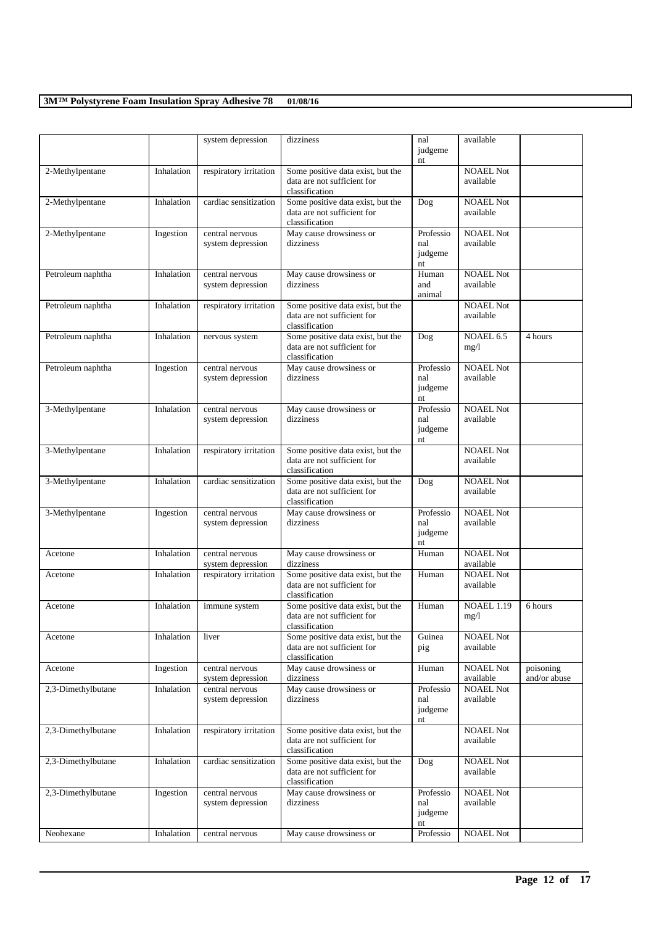|                    |            | system depression                    | dizziness                                                                          | nal<br>judgeme                    | available                     |                           |
|--------------------|------------|--------------------------------------|------------------------------------------------------------------------------------|-----------------------------------|-------------------------------|---------------------------|
|                    |            |                                      |                                                                                    | nt                                |                               |                           |
| 2-Methylpentane    | Inhalation | respiratory irritation               | Some positive data exist, but the<br>data are not sufficient for<br>classification |                                   | <b>NOAEL Not</b><br>available |                           |
| 2-Methylpentane    | Inhalation | cardiac sensitization                | Some positive data exist, but the<br>data are not sufficient for<br>classification | Dog                               | <b>NOAEL Not</b><br>available |                           |
| 2-Methylpentane    | Ingestion  | central nervous<br>system depression | May cause drowsiness or<br>dizziness                                               | Professio<br>nal<br>judgeme<br>nt | <b>NOAEL Not</b><br>available |                           |
| Petroleum naphtha  | Inhalation | central nervous<br>system depression | May cause drowsiness or<br>dizziness                                               | Human<br>and<br>animal            | <b>NOAEL Not</b><br>available |                           |
| Petroleum naphtha  | Inhalation | respiratory irritation               | Some positive data exist, but the<br>data are not sufficient for<br>classification |                                   | <b>NOAEL Not</b><br>available |                           |
| Petroleum naphtha  | Inhalation | nervous system                       | Some positive data exist, but the<br>data are not sufficient for<br>classification | Dog                               | NOAEL 6.5<br>mg/1             | 4 hours                   |
| Petroleum naphtha  | Ingestion  | central nervous<br>system depression | May cause drowsiness or<br>dizziness                                               | Professio<br>nal<br>judgeme<br>nt | <b>NOAEL Not</b><br>available |                           |
| 3-Methylpentane    | Inhalation | central nervous<br>system depression | May cause drowsiness or<br>dizziness                                               | Professio<br>nal<br>judgeme<br>nt | <b>NOAEL Not</b><br>available |                           |
| 3-Methylpentane    | Inhalation | respiratory irritation               | Some positive data exist, but the<br>data are not sufficient for<br>classification |                                   | <b>NOAEL Not</b><br>available |                           |
| 3-Methylpentane    | Inhalation | cardiac sensitization                | Some positive data exist, but the<br>data are not sufficient for<br>classification | Dog                               | <b>NOAEL Not</b><br>available |                           |
| 3-Methylpentane    | Ingestion  | central nervous<br>system depression | May cause drowsiness or<br>dizziness                                               | Professio<br>nal<br>judgeme<br>nt | <b>NOAEL Not</b><br>available |                           |
| Acetone            | Inhalation | central nervous<br>system depression | May cause drowsiness or<br>dizziness                                               | Human                             | <b>NOAEL Not</b><br>available |                           |
| Acetone            | Inhalation | respiratory irritation               | Some positive data exist, but the<br>data are not sufficient for<br>classification | Human                             | <b>NOAEL Not</b><br>available |                           |
| Acetone            | Inhalation | immune system                        | Some positive data exist, but the<br>data are not sufficient for<br>classification | Human                             | <b>NOAEL 1.19</b><br>mg/1     | 6 hours                   |
| Acetone            | Inhalation | liver                                | Some positive data exist, but the<br>data are not sufficient for<br>classification | Guinea<br>pig                     | <b>NOAEL Not</b><br>available |                           |
| Acetone            | Ingestion  | central nervous<br>system depression | May cause drowsiness or<br>dizziness                                               | Human                             | <b>NOAEL Not</b><br>available | poisoning<br>and/or abuse |
| 2,3-Dimethylbutane | Inhalation | central nervous<br>system depression | May cause drowsiness or<br>dizziness                                               | Professio<br>nal<br>judgeme<br>nt | <b>NOAEL Not</b><br>available |                           |
| 2,3-Dimethylbutane | Inhalation | respiratory irritation               | Some positive data exist, but the<br>data are not sufficient for<br>classification |                                   | <b>NOAEL Not</b><br>available |                           |
| 2,3-Dimethylbutane | Inhalation | cardiac sensitization                | Some positive data exist, but the<br>data are not sufficient for<br>classification | Dog                               | <b>NOAEL Not</b><br>available |                           |
| 2,3-Dimethylbutane | Ingestion  | central nervous<br>system depression | May cause drowsiness or<br>dizziness                                               | Professio<br>nal<br>judgeme<br>nt | <b>NOAEL Not</b><br>available |                           |
| Neohexane          | Inhalation | central nervous                      | May cause drowsiness or                                                            | Professio                         | <b>NOAEL Not</b>              |                           |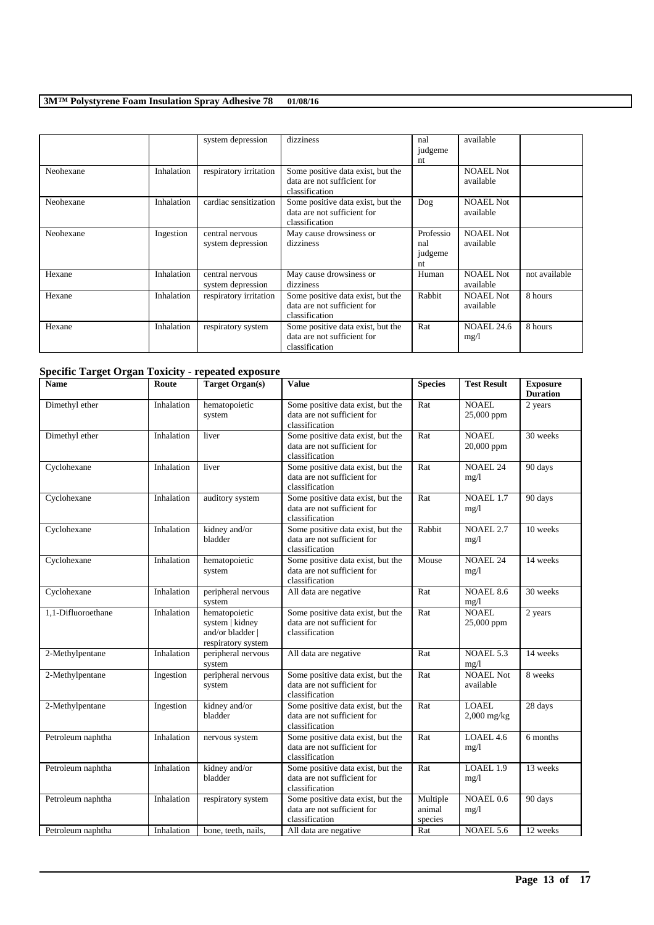|           |            | system depression                    | dizziness                                                                          | nal<br>judgeme<br>nt              | available                     |               |
|-----------|------------|--------------------------------------|------------------------------------------------------------------------------------|-----------------------------------|-------------------------------|---------------|
| Neohexane | Inhalation | respiratory irritation               | Some positive data exist, but the<br>data are not sufficient for<br>classification |                                   | <b>NOAEL Not</b><br>available |               |
| Neohexane | Inhalation | cardiac sensitization                | Some positive data exist, but the<br>data are not sufficient for<br>classification | Dog                               | <b>NOAEL Not</b><br>available |               |
| Neohexane | Ingestion  | central nervous<br>system depression | May cause drowsiness or<br>dizziness                                               | Professio<br>nal<br>judgeme<br>nt | <b>NOAEL Not</b><br>available |               |
| Hexane    | Inhalation | central nervous<br>system depression | May cause drowsiness or<br>dizziness                                               | Human                             | <b>NOAEL Not</b><br>available | not available |
| Hexane    | Inhalation | respiratory irritation               | Some positive data exist, but the<br>data are not sufficient for<br>classification | Rabbit                            | <b>NOAEL Not</b><br>available | 8 hours       |
| Hexane    | Inhalation | respiratory system                   | Some positive data exist, but the<br>data are not sufficient for<br>classification | Rat                               | <b>NOAEL 24.6</b><br>mg/1     | 8 hours       |

# **Specific Target Organ Toxicity - repeated exposure**

| Name               | Route      | <b>Target Organ(s)</b>                                                     | <b>Value</b>                                                                       | <b>Species</b>                | <b>Test Result</b>            | <b>Exposure</b><br><b>Duration</b> |
|--------------------|------------|----------------------------------------------------------------------------|------------------------------------------------------------------------------------|-------------------------------|-------------------------------|------------------------------------|
| Dimethyl ether     | Inhalation | hematopoietic<br>system                                                    | Some positive data exist, but the<br>data are not sufficient for<br>classification | Rat                           | <b>NOAEL</b><br>25,000 ppm    | 2 years                            |
| Dimethyl ether     | Inhalation | liver                                                                      | Some positive data exist, but the<br>data are not sufficient for<br>classification | Rat                           | <b>NOAEL</b><br>20,000 ppm    | 30 weeks                           |
| Cyclohexane        | Inhalation | liver                                                                      | Some positive data exist, but the<br>data are not sufficient for<br>classification | Rat                           | NOAEL <sub>24</sub><br>mg/l   | 90 days                            |
| Cyclohexane        | Inhalation | auditory system                                                            | Some positive data exist, but the<br>data are not sufficient for<br>classification | Rat                           | NOAEL 1.7<br>mg/1             | 90 days                            |
| Cyclohexane        | Inhalation | kidney and/or<br>bladder                                                   | Some positive data exist, but the<br>data are not sufficient for<br>classification | Rabbit                        | <b>NOAEL 2.7</b><br>mg/1      | 10 weeks                           |
| Cyclohexane        | Inhalation | hematopoietic<br>system                                                    | Some positive data exist, but the<br>data are not sufficient for<br>classification | Mouse                         | <b>NOAEL 24</b><br>mg/1       | 14 weeks                           |
| Cyclohexane        | Inhalation | peripheral nervous<br>system                                               | All data are negative                                                              | Rat                           | <b>NOAEL 8.6</b><br>mg/1      | 30 weeks                           |
| 1.1-Difluoroethane | Inhalation | hematopoietic<br>system   kidney<br>and/or bladder  <br>respiratory system | Some positive data exist, but the<br>data are not sufficient for<br>classification | Rat                           | <b>NOAEL</b><br>25,000 ppm    | 2 years                            |
| 2-Methylpentane    | Inhalation | peripheral nervous<br>system                                               | All data are negative                                                              | Rat                           | NOAEL 5.3<br>mg/1             | 14 weeks                           |
| 2-Methylpentane    | Ingestion  | peripheral nervous<br>system                                               | Some positive data exist, but the<br>data are not sufficient for<br>classification | Rat                           | <b>NOAEL Not</b><br>available | 8 weeks                            |
| 2-Methylpentane    | Ingestion  | kidney and/or<br>bladder                                                   | Some positive data exist, but the<br>data are not sufficient for<br>classification | Rat                           | <b>LOAEL</b><br>$2,000$ mg/kg | 28 days                            |
| Petroleum naphtha  | Inhalation | nervous system                                                             | Some positive data exist, but the<br>data are not sufficient for<br>classification | Rat                           | LOAEL 4.6<br>mg/l             | 6 months                           |
| Petroleum naphtha  | Inhalation | kidney and/or<br>bladder                                                   | Some positive data exist, but the<br>data are not sufficient for<br>classification | Rat                           | LOAEL 1.9<br>mg/1             | 13 weeks                           |
| Petroleum naphtha  | Inhalation | respiratory system                                                         | Some positive data exist, but the<br>data are not sufficient for<br>classification | Multiple<br>animal<br>species | NOAEL 0.6<br>mg/1             | 90 days                            |
| Petroleum naphtha  | Inhalation | bone, teeth, nails,                                                        | All data are negative                                                              | Rat                           | NOAEL 5.6                     | 12 weeks                           |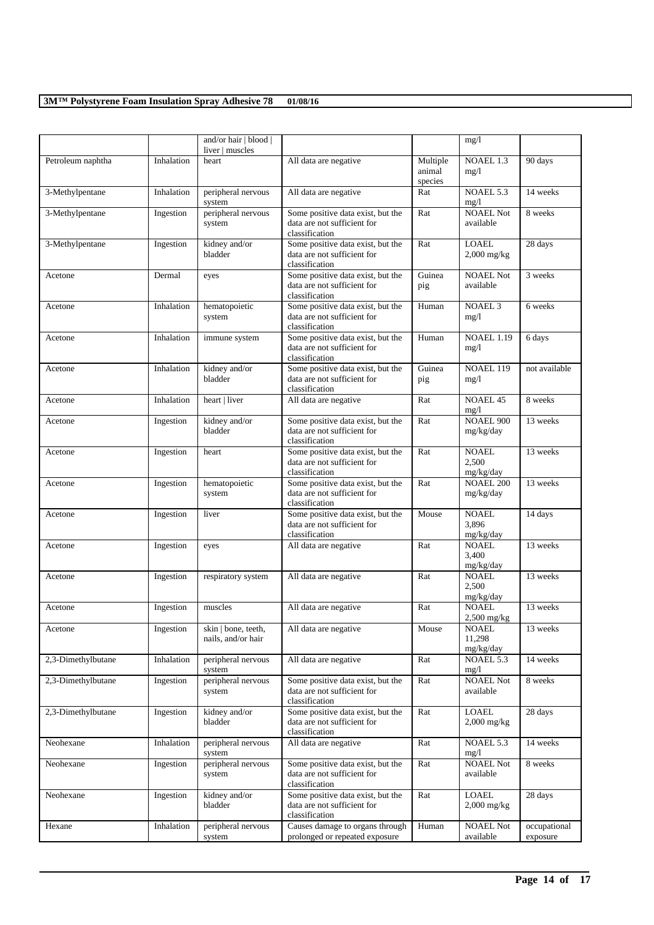|                    |            | and/or hair   blood  <br>liver   muscles  |                                                                                    |                               | mg/1                                |                          |
|--------------------|------------|-------------------------------------------|------------------------------------------------------------------------------------|-------------------------------|-------------------------------------|--------------------------|
| Petroleum naphtha  | Inhalation | heart                                     | All data are negative                                                              | Multiple<br>animal<br>species | NOAEL 1.3<br>mg/1                   | 90 days                  |
| 3-Methylpentane    | Inhalation | peripheral nervous<br>system              | All data are negative                                                              | Rat                           | NOAEL 5.3<br>mg/1                   | 14 weeks                 |
| 3-Methylpentane    | Ingestion  | peripheral nervous<br>system              | Some positive data exist, but the<br>data are not sufficient for<br>classification | Rat                           | <b>NOAEL Not</b><br>available       | 8 weeks                  |
| 3-Methylpentane    | Ingestion  | kidney and/or<br>bladder                  | Some positive data exist, but the<br>data are not sufficient for<br>classification | Rat                           | <b>LOAEL</b><br>$2,000$ mg/kg       | 28 days                  |
| Acetone            | Dermal     | eyes                                      | Some positive data exist, but the<br>data are not sufficient for<br>classification | Guinea<br>pig                 | <b>NOAEL Not</b><br>available       | 3 weeks                  |
| Acetone            | Inhalation | hematopoietic<br>system                   | Some positive data exist, but the<br>data are not sufficient for<br>classification | Human                         | NOAEL <sub>3</sub><br>mg/1          | 6 weeks                  |
| Acetone            | Inhalation | immune system                             | Some positive data exist, but the<br>data are not sufficient for<br>classification | Human                         | <b>NOAEL 1.19</b><br>mg/1           | 6 days                   |
| Acetone            | Inhalation | kidney and/or<br>bladder                  | Some positive data exist, but the<br>data are not sufficient for<br>classification | Guinea<br>pig                 | NOAEL 119<br>mg/1                   | not available            |
| Acetone            | Inhalation | heart   liver                             | All data are negative                                                              | Rat                           | <b>NOAEL 45</b><br>mg/1             | 8 weeks                  |
| Acetone            | Ingestion  | kidney and/or<br>bladder                  | Some positive data exist, but the<br>data are not sufficient for<br>classification | Rat                           | <b>NOAEL 900</b><br>mg/kg/day       | 13 weeks                 |
| Acetone            | Ingestion  | heart                                     | Some positive data exist, but the<br>data are not sufficient for<br>classification | Rat                           | <b>NOAEL</b><br>2,500<br>mg/kg/day  | 13 weeks                 |
| Acetone            | Ingestion  | hematopoietic<br>system                   | Some positive data exist, but the<br>data are not sufficient for<br>classification | Rat                           | <b>NOAEL 200</b><br>mg/kg/day       | 13 weeks                 |
| Acetone            | Ingestion  | liver                                     | Some positive data exist, but the<br>data are not sufficient for<br>classification | Mouse                         | <b>NOAEL</b><br>3,896<br>mg/kg/day  | 14 days                  |
| Acetone            | Ingestion  | eyes                                      | All data are negative                                                              | Rat                           | <b>NOAEL</b><br>3,400<br>mg/kg/day  | 13 weeks                 |
| Acetone            | Ingestion  | respiratory system                        | All data are negative                                                              | Rat                           | <b>NOAEL</b><br>2,500<br>mg/kg/day  | 13 weeks                 |
| Acetone            | Ingestion  | muscles                                   | All data are negative                                                              | Rat                           | <b>NOAEL</b><br>$2,500$ mg/kg       | 13 weeks                 |
| Acetone            | Ingestion  | skin   bone, teeth,<br>nails, and/or hair | All data are negative                                                              | Mouse                         | <b>NOAEL</b><br>11,298<br>mg/kg/day | 13 weeks                 |
| 2,3-Dimethylbutane | Inhalation | peripheral nervous<br>system              | All data are negative                                                              | Rat                           | NOAEL 5.3<br>mg/1                   | 14 weeks                 |
| 2,3-Dimethylbutane | Ingestion  | peripheral nervous<br>system              | Some positive data exist, but the<br>data are not sufficient for<br>classification | Rat                           | <b>NOAEL Not</b><br>available       | 8 weeks                  |
| 2,3-Dimethylbutane | Ingestion  | kidney and/or<br>bladder                  | Some positive data exist, but the<br>data are not sufficient for<br>classification | Rat                           | <b>LOAEL</b><br>$2,000$ mg/kg       | 28 days                  |
| Neohexane          | Inhalation | peripheral nervous<br>system              | All data are negative                                                              | Rat                           | NOAEL 5.3<br>mg/1                   | 14 weeks                 |
| Neohexane          | Ingestion  | peripheral nervous<br>system              | Some positive data exist, but the<br>data are not sufficient for<br>classification | Rat                           | <b>NOAEL Not</b><br>available       | 8 weeks                  |
| Neohexane          | Ingestion  | kidney and/or<br>bladder                  | Some positive data exist, but the<br>data are not sufficient for<br>classification | Rat                           | <b>LOAEL</b><br>$2,000$ mg/kg       | 28 days                  |
| Hexane             | Inhalation | peripheral nervous<br>system              | Causes damage to organs through<br>prolonged or repeated exposure                  | Human                         | <b>NOAEL Not</b><br>available       | occupational<br>exposure |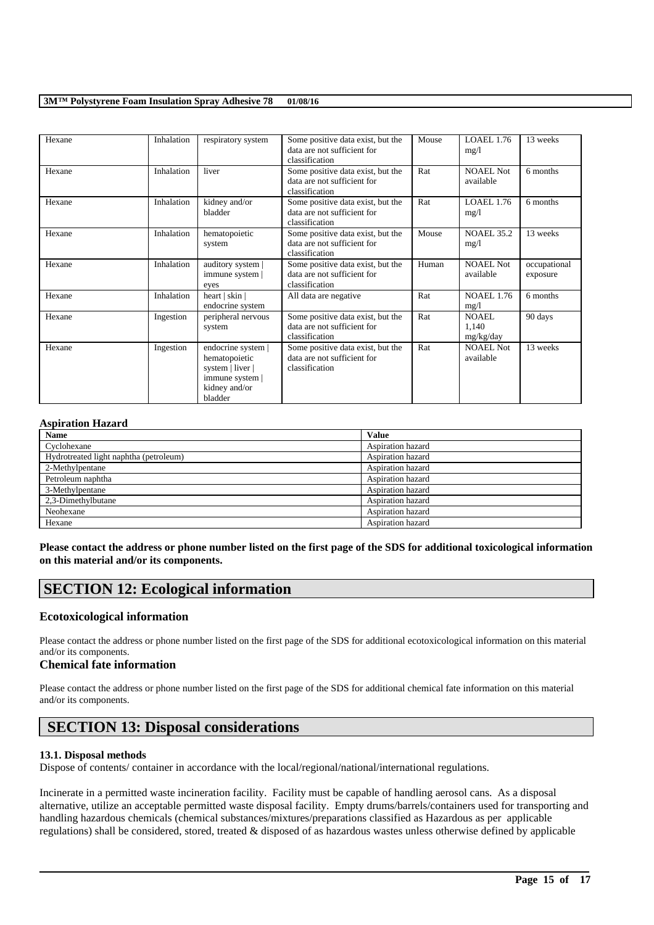| Hexane | Inhalation | respiratory system                                                                                     | Some positive data exist, but the<br>data are not sufficient for<br>classification | Mouse | <b>LOAEL 1.76</b><br>mg/1     | 13 weeks                 |
|--------|------------|--------------------------------------------------------------------------------------------------------|------------------------------------------------------------------------------------|-------|-------------------------------|--------------------------|
| Hexane | Inhalation | liver                                                                                                  | Some positive data exist, but the<br>data are not sufficient for<br>classification | Rat   | <b>NOAEL Not</b><br>available | 6 months                 |
| Hexane | Inhalation | kidney and/or<br>bladder                                                                               | Some positive data exist, but the<br>data are not sufficient for<br>classification | Rat   | LOAEL 1.76<br>mg/1            | 6 months                 |
| Hexane | Inhalation | hematopoietic<br>system                                                                                | Some positive data exist, but the<br>data are not sufficient for<br>classification | Mouse | <b>NOAEL 35.2</b><br>mg/1     | 13 weeks                 |
| Hexane | Inhalation | auditory system  <br>immune system  <br>eyes                                                           | Some positive data exist, but the<br>data are not sufficient for<br>classification | Human | <b>NOAEL Not</b><br>available | occupational<br>exposure |
| Hexane | Inhalation | heart   skin  <br>endocrine system                                                                     | All data are negative                                                              | Rat   | <b>NOAEL 1.76</b><br>mg/l     | 6 months                 |
| Hexane | Ingestion  | peripheral nervous<br>system                                                                           | Some positive data exist, but the<br>data are not sufficient for<br>classification | Rat   | NOAEL.<br>1,140<br>mg/kg/day  | 90 days                  |
| Hexane | Ingestion  | endocrine system  <br>hematopoietic<br>system   liver  <br>immune system  <br>kidney and/or<br>bladder | Some positive data exist, but the<br>data are not sufficient for<br>classification | Rat   | NOAEL Not<br>available        | 13 weeks                 |

### **Aspiration Hazard**

| <b>Name</b>                            | <b>Value</b>      |
|----------------------------------------|-------------------|
| Cyclohexane                            | Aspiration hazard |
| Hydrotreated light naphtha (petroleum) | Aspiration hazard |
| 2-Methylpentane                        | Aspiration hazard |
| Petroleum naphtha                      | Aspiration hazard |
| 3-Methylpentane                        | Aspiration hazard |
| 2,3-Dimethylbutane                     | Aspiration hazard |
| Neohexane                              | Aspiration hazard |
| Hexane                                 | Aspiration hazard |

**Please contact the address or phone number listed on the first page of the SDS for additional toxicological information on this material and/or its components.**

# **SECTION 12: Ecological information**

### **Ecotoxicological information**

Please contact the address or phone number listed on the first page of the SDS for additional ecotoxicological information on this material and/or its components.

### **Chemical fate information**

Please contact the address or phone number listed on the first page of the SDS for additional chemical fate information on this material and/or its components.

# **SECTION 13: Disposal considerations**

### **13.1. Disposal methods**

Dispose of contents/ container in accordance with the local/regional/national/international regulations.

Incinerate in a permitted waste incineration facility. Facility must be capable of handling aerosol cans. As a disposal alternative, utilize an acceptable permitted waste disposal facility. Empty drums/barrels/containers used for transporting and handling hazardous chemicals (chemical substances/mixtures/preparations classified as Hazardous as per applicable regulations) shall be considered, stored, treated & disposed of as hazardous wastes unless otherwise defined by applicable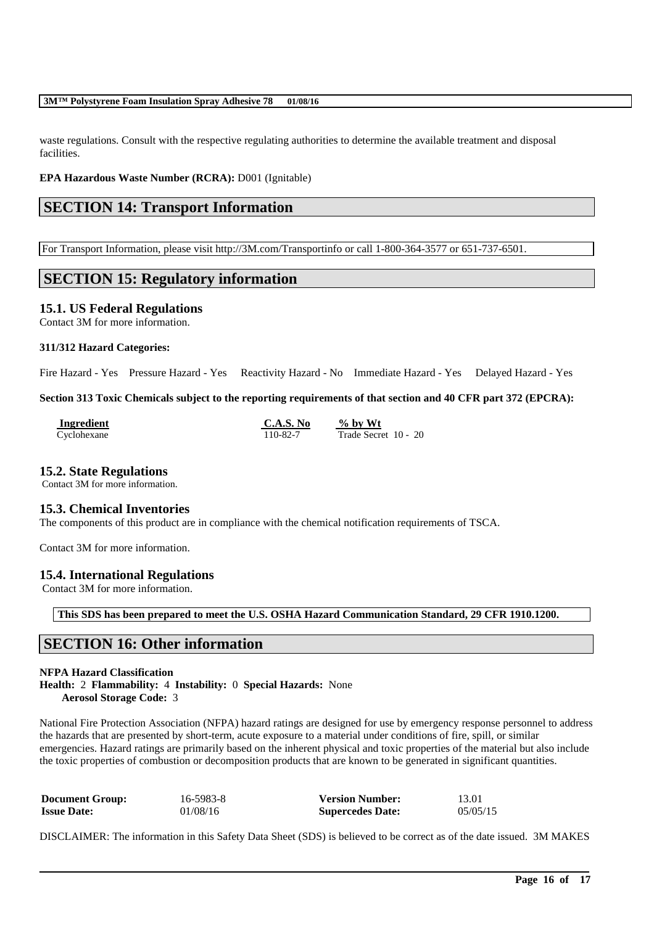waste regulations. Consult with the respective regulating authorities to determine the available treatment and disposal facilities.

**EPA Hazardous Waste Number (RCRA):** D001 (Ignitable)

# **SECTION 14: Transport Information**

For Transport Information, please visit http://3M.com/Transportinfo or call 1-800-364-3577 or 651-737-6501.

## **SECTION 15: Regulatory information**

**15.1. US Federal Regulations**

Contact 3M for more information.

### **311/312 Hazard Categories:**

Fire Hazard - Yes Pressure Hazard - Yes Reactivity Hazard - No Immediate Hazard - Yes Delayed Hazard - Yes

### **Section 313 Toxic Chemicals subject to the reporting requirements of that section and 40 CFR part 372 (EPCRA):**

| Ingredient  | C.A.S. No | $\%$ by Wt           |
|-------------|-----------|----------------------|
| Cyclohexane | 110-82-7  | Trade Secret 10 - 20 |

### **15.2. State Regulations**

Contact 3M for more information.

### **15.3. Chemical Inventories**

The components of this product are in compliance with the chemical notification requirements of TSCA.

Contact 3M for more information.

### **15.4. International Regulations**

Contact 3M for more information.

**This SDS has been prepared to meet the U.S. OSHA Hazard Communication Standard, 29 CFR 1910.1200.**

## **SECTION 16: Other information**

### **NFPA Hazard Classification Health:** 2 **Flammability:** 4 **Instability:** 0 **Special Hazards:** None **Aerosol Storage Code:** 3

National Fire Protection Association (NFPA) hazard ratings are designed for use by emergency response personnel to address the hazards that are presented by short-term, acute exposure to a material under conditions of fire, spill, or similar emergencies. Hazard ratings are primarily based on the inherent physical and toxic properties of the material but also include the toxic properties of combustion or decomposition products that are known to be generated in significant quantities.

| <b>Document Group:</b> | 16-5983-8 | <b>Version Number:</b>  | 13.01    |
|------------------------|-----------|-------------------------|----------|
| <b>Issue Date:</b>     | 01/08/16  | <b>Supercedes Date:</b> | 05/05/15 |

DISCLAIMER: The information in this Safety Data Sheet (SDS) is believed to be correct as of the date issued. 3M MAKES